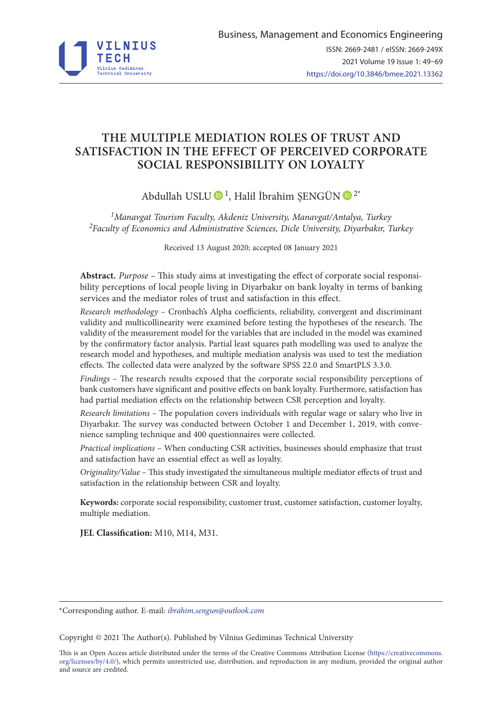

# **THE MULTIPLE MEDIATION ROLES OF TRUST AND SATISFACTION IN THE EFFECT OF PERCEIVED CORPORATE SOCIAL RESPONSIBILITY ON LOYALTY**

Abdullah USLU  $\bigcirc$ <sup>1</sup>, Halil İbrahim SENGÜN  $\bigcirc$ <sup>2\*</sup>

*1Manavgat Tourism Faculty, Akdeniz University, Manavgat/Antalya, Turkey 2Faculty of Economics and Administrative Sciences, Dicle University, Diyarbakır, Turkey*

Received 13 August 2020; accepted 08 January 2021

**Abstract.** *Purpose –* This study aims at investigating the effect of corporate social responsibility perceptions of local people living in Diyarbakır on bank loyalty in terms of banking services and the mediator roles of trust and satisfaction in this effect.

*Research methodology* – Cronbach's Alpha coefficients, reliability, convergent and discriminant validity and multicollinearity were examined before testing the hypotheses of the research. The validity of the measurement model for the variables that are included in the model was examined by the confirmatory factor analysis. Partial least squares path modelling was used to analyze the research model and hypotheses, and multiple mediation analysis was used to test the mediation effects. The collected data were analyzed by the software SPSS 22.0 and SmartPLS 3.3.0.

*Findings* – The research results exposed that the corporate social responsibility perceptions of bank customers have significant and positive effects on bank loyalty. Furthermore, satisfaction has had partial mediation effects on the relationship between CSR perception and loyalty.

*Research limitations* – The population covers individuals with regular wage or salary who live in Diyarbakır. The survey was conducted between October 1 and December 1, 2019, with convenience sampling technique and 400 questionnaires were collected.

*Practical implications* – When conducting CSR activities, businesses should emphasize that trust and satisfaction have an essential effect as well as loyalty.

*Originality/Value* – This study investigated the simultaneous multiple mediator effects of trust and satisfaction in the relationship between CSR and loyalty.

**Keywords:** corporate social responsibility, customer trust, customer satisfaction, customer loyalty, multiple mediation.

**JEL Classification:** M10, M14, M31.

\*Corresponding author. E-mail: *ibrahim.sengun@outlook.com*

Copyright © 2021 The Author(s). Published by Vilnius Gediminas Technical University

This is an Open Access article distributed under the terms of the Creative Commons Attribution License [\(https://creativecommons.](http://dx.doi.org/10.1016/S0377-2217(03)00091-2) [org/licenses/by/4.0/\)](http://dx.doi.org/10.1016/S0377-2217(03)00091-2), which permits unrestricted use, distribution, and reproduction in any medium, provided the original author and source are credited.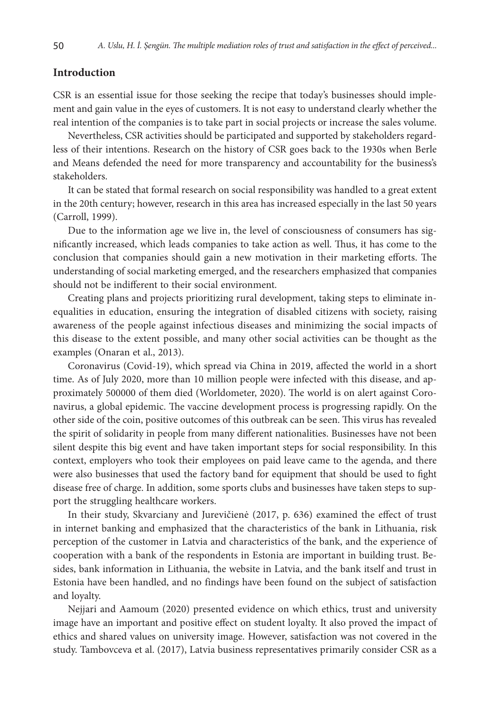# **Introduction**

CSR is an essential issue for those seeking the recipe that today's businesses should implement and gain value in the eyes of customers. It is not easy to understand clearly whether the real intention of the companies is to take part in social projects or increase the sales volume.

Nevertheless, CSR activities should be participated and supported by stakeholders regardless of their intentions. Research on the history of CSR goes back to the 1930s when Berle and Means defended the need for more transparency and accountability for the business's stakeholders.

It can be stated that formal research on social responsibility was handled to a great extent in the 20th century; however, research in this area has increased especially in the last 50 years (Carroll, 1999).

Due to the information age we live in, the level of consciousness of consumers has significantly increased, which leads companies to take action as well. Thus, it has come to the conclusion that companies should gain a new motivation in their marketing efforts. The understanding of social marketing emerged, and the researchers emphasized that companies should not be indifferent to their social environment.

Creating plans and projects prioritizing rural development, taking steps to eliminate inequalities in education, ensuring the integration of disabled citizens with society, raising awareness of the people against infectious diseases and minimizing the social impacts of this disease to the extent possible, and many other social activities can be thought as the examples (Onaran et al., 2013).

Coronavirus (Covid-19), which spread via China in 2019, affected the world in a short time. As of July 2020, more than 10 million people were infected with this disease, and approximately 500000 of them died [\(Worldometer,](http://www.worldometers.info) 2020). The world is on alert against Coronavirus, a global epidemic. The vaccine development process is progressing rapidly. On the other side of the coin, positive outcomes of this outbreak can be seen. This virus has revealed the spirit of solidarity in people from many different nationalities. Businesses have not been silent despite this big event and have taken important steps for social responsibility. In this context, employers who took their employees on paid leave came to the agenda, and there were also businesses that used the factory band for equipment that should be used to fight disease free of charge. In addition, some sports clubs and businesses have taken steps to support the struggling healthcare workers.

In their study, Skvarciany and Jurevičienė (2017, p. 636) examined the effect of trust in internet banking and emphasized that the characteristics of the bank in Lithuania, risk perception of the customer in Latvia and characteristics of the bank, and the experience of cooperation with a bank of the respondents in Estonia are important in building trust. Besides, bank information in Lithuania, the website in Latvia, and the bank itself and trust in Estonia have been handled, and no findings have been found on the subject of satisfaction and loyalty.

Nejjari and Aamoum (2020) presented evidence on which ethics, trust and university image have an important and positive effect on student loyalty. It also proved the impact of ethics and shared values on university image. However, satisfaction was not covered in the study. Tambovceva et al. (2017), Latvia business representatives primarily consider CSR as a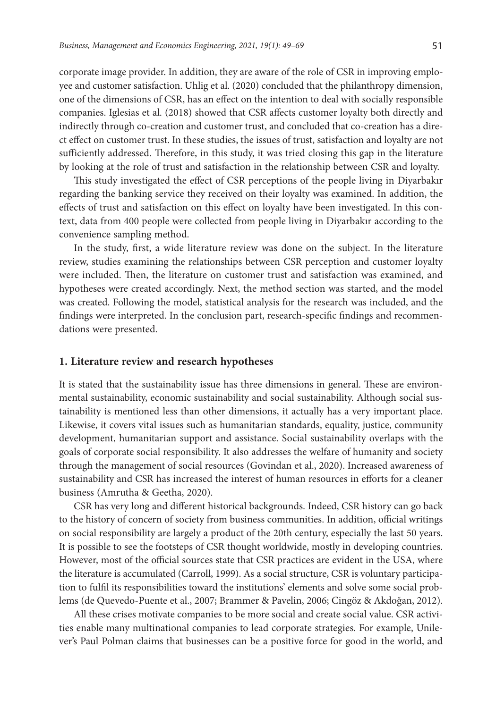corporate image provider. In addition, they are aware of the role of CSR in improving employee and customer satisfaction. Uhlig et al. (2020) concluded that the philanthropy dimension, one of the dimensions of CSR, has an effect on the intention to deal with socially responsible companies. Iglesias et al. (2018) showed that CSR affects customer loyalty both directly and indirectly through co-creation and customer trust, and concluded that co-creation has a direct effect on customer trust. In these studies, the issues of trust, satisfaction and loyalty are not sufficiently addressed. Therefore, in this study, it was tried closing this gap in the literature by looking at the role of trust and satisfaction in the relationship between CSR and loyalty.

This study investigated the effect of CSR perceptions of the people living in Diyarbakır regarding the banking service they received on their loyalty was examined. In addition, the effects of trust and satisfaction on this effect on loyalty have been investigated. In this context, data from 400 people were collected from people living in Diyarbakır according to the convenience sampling method.

In the study, first, a wide literature review was done on the subject. In the literature review, studies examining the relationships between CSR perception and customer loyalty were included. Then, the literature on customer trust and satisfaction was examined, and hypotheses were created accordingly. Next, the method section was started, and the model was created. Following the model, statistical analysis for the research was included, and the findings were interpreted. In the conclusion part, research-specific findings and recommendations were presented.

### **1. Literature review and research hypotheses**

It is stated that the sustainability issue has three dimensions in general. These are environmental sustainability, economic sustainability and social sustainability. Although social sustainability is mentioned less than other dimensions, it actually has a very important place. Likewise, it covers vital issues such as humanitarian standards, equality, justice, community development, humanitarian support and assistance. Social sustainability overlaps with the goals of corporate social responsibility. It also addresses the welfare of humanity and society through the management of social resources (Govindan et al., 2020). Increased awareness of sustainability and CSR has increased the interest of human resources in efforts for a cleaner business (Amrutha & Geetha, 2020).

CSR has very long and different historical backgrounds. Indeed, CSR history can go back to the history of concern of society from business communities. In addition, official writings on social responsibility are largely a product of the 20th century, especially the last 50 years. It is possible to see the footsteps of CSR thought worldwide, mostly in developing countries. However, most of the official sources state that CSR practices are evident in the USA, where the literature is accumulated (Carroll, 1999). As a social structure, CSR is voluntary participation to fulfil its responsibilities toward the institutions' elements and solve some social problems (de Quevedo-Puente et al., 2007; Brammer & Pavelin, 2006; Cingöz & Akdoğan, 2012).

All these crises motivate companies to be more social and create social value. CSR activities enable many multinational companies to lead corporate strategies. For example, Unilever's Paul Polman claims that businesses can be a positive force for good in the world, and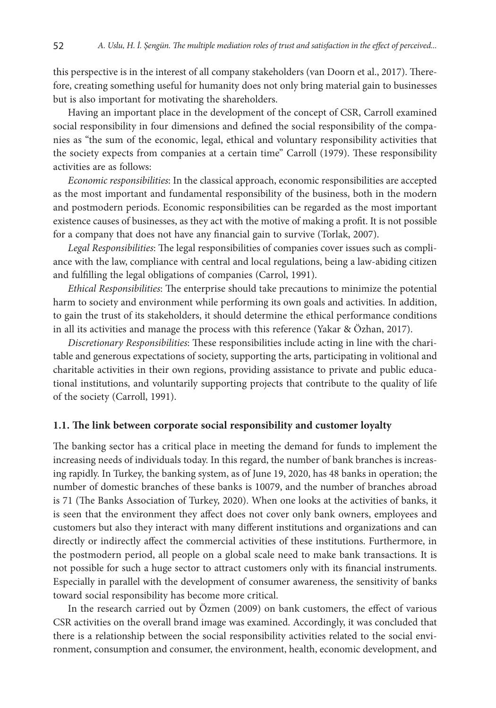this perspective is in the interest of all company stakeholders (van Doorn et al., 2017). Therefore, creating something useful for humanity does not only bring material gain to businesses but is also important for motivating the shareholders.

Having an important place in the development of the concept of CSR, Carroll examined social responsibility in four dimensions and defined the social responsibility of the companies as "the sum of the economic, legal, ethical and voluntary responsibility activities that the society expects from companies at a certain time" Carroll (1979). These responsibility activities are as follows:

*Economic responsibilities*: In the classical approach, economic responsibilities are accepted as the most important and fundamental responsibility of the business, both in the modern and postmodern periods. Economic responsibilities can be regarded as the most important existence causes of businesses, as they act with the motive of making a profit. It is not possible for a company that does not have any financial gain to survive (Torlak, 2007).

*Legal Responsibilities*: The legal responsibilities of companies cover issues such as compliance with the law, compliance with central and local regulations, being a law-abiding citizen and fulfilling the legal obligations of companies (Carrol, 1991).

*Ethical Responsibilities*: The enterprise should take precautions to minimize the potential harm to society and environment while performing its own goals and activities. In addition, to gain the trust of its stakeholders, it should determine the ethical performance conditions in all its activities and manage the process with this reference (Yakar & Özhan, 2017).

*Discretionary Responsibilities*: These responsibilities include acting in line with the charitable and generous expectations of society, supporting the arts, participating in volitional and charitable activities in their own regions, providing assistance to private and public educational institutions, and voluntarily supporting projects that contribute to the quality of life of the society (Carroll, 1991).

#### **1.1. The link between corporate social responsibility and customer loyalty**

The banking sector has a critical place in meeting the demand for funds to implement the increasing needs of individuals today. In this regard, the number of bank branches is increasing rapidly. In Turkey, the banking system, as of June 19, 2020, has 48 banks in operation; the number of domestic branches of these banks is 10079, and the number of branches abroad is 71 (The Banks Association of Turkey, 2020). When one looks at the activities of banks, it is seen that the environment they affect does not cover only bank owners, employees and customers but also they interact with many different institutions and organizations and can directly or indirectly affect the commercial activities of these institutions. Furthermore, in the postmodern period, all people on a global scale need to make bank transactions. It is not possible for such a huge sector to attract customers only with its financial instruments. Especially in parallel with the development of consumer awareness, the sensitivity of banks toward social responsibility has become more critical.

In the research carried out by Özmen (2009) on bank customers, the effect of various CSR activities on the overall brand image was examined. Accordingly, it was concluded that there is a relationship between the social responsibility activities related to the social environment, consumption and consumer, the environment, health, economic development, and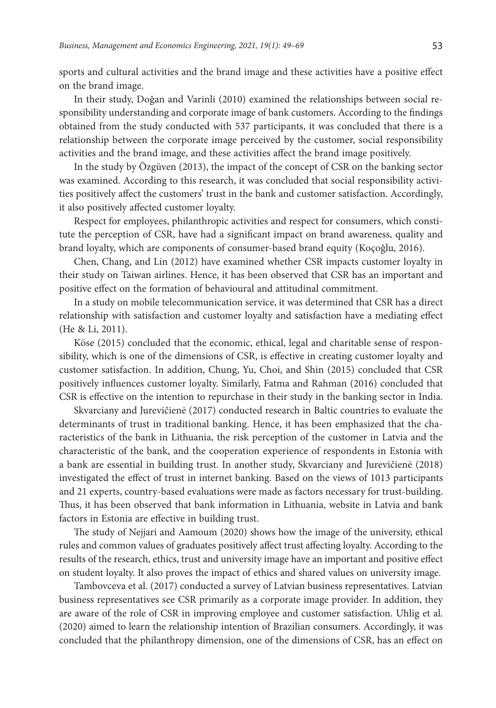sports and cultural activities and the brand image and these activities have a positive effect on the brand image.

In their study, Doğan and Varinli (2010) examined the relationships between social responsibility understanding and corporate image of bank customers. According to the findings obtained from the study conducted with 537 participants, it was concluded that there is a relationship between the corporate image perceived by the customer, social responsibility activities and the brand image, and these activities affect the brand image positively.

In the study by Özgüven (2013), the impact of the concept of CSR on the banking sector was examined. According to this research, it was concluded that social responsibility activities positively affect the customers' trust in the bank and customer satisfaction. Accordingly, it also positively affected customer loyalty.

Respect for employees, philanthropic activities and respect for consumers, which constitute the perception of CSR, have had a significant impact on brand awareness, quality and brand loyalty, which are components of consumer-based brand equity (Koçoğlu, 2016).

Chen, Chang, and Lin (2012) have examined whether CSR impacts customer loyalty in their study on Taiwan airlines. Hence, it has been observed that CSR has an important and positive effect on the formation of behavioural and attitudinal commitment.

In a study on mobile telecommunication service, it was determined that CSR has a direct relationship with satisfaction and customer loyalty and satisfaction have a mediating effect (He & Li, 2011).

Köse (2015) concluded that the economic, ethical, legal and charitable sense of responsibility, which is one of the dimensions of CSR, is effective in creating customer loyalty and customer satisfaction. In addition, Chung, Yu, Choi, and Shin (2015) concluded that CSR positively influences customer loyalty. Similarly, Fatma and Rahman (2016) concluded that CSR is effective on the intention to repurchase in their study in the banking sector in India.

Skvarciany and Jurevičienė (2017) conducted research in Baltic countries to evaluate the determinants of trust in traditional banking. Hence, it has been emphasized that the characteristics of the bank in Lithuania, the risk perception of the customer in Latvia and the characteristic of the bank, and the cooperation experience of respondents in Estonia with a bank are essential in building trust. In another study, Skvarciany and Jurevičienė (2018) investigated the effect of trust in internet banking. Based on the views of 1013 participants and 21 experts, country-based evaluations were made as factors necessary for trust-building. Thus, it has been observed that bank information in Lithuania, website in Latvia and bank factors in Estonia are effective in building trust.

The study of Nejjari and Aamoum (2020) shows how the image of the university, ethical rules and common values of graduates positively affect trust affecting loyalty. According to the results of the research, ethics, trust and university image have an important and positive effect on student loyalty. It also proves the impact of ethics and shared values on university image.

Tambovceva et al. (2017) conducted a survey of Latvian business representatives. Latvian business representatives see CSR primarily as a corporate image provider. In addition, they are aware of the role of CSR in improving employee and customer satisfaction. Uhlig et al. (2020) aimed to learn the relationship intention of Brazilian consumers. Accordingly, it was concluded that the philanthropy dimension, one of the dimensions of CSR, has an effect on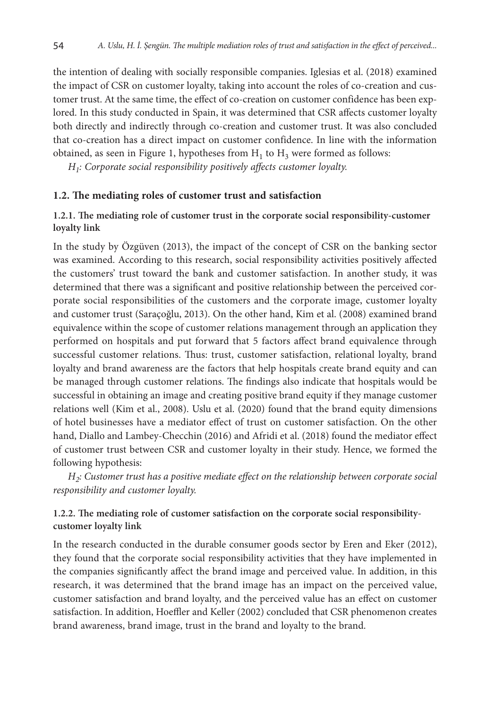the intention of dealing with socially responsible companies. Iglesias et al. (2018) examined the impact of CSR on customer loyalty, taking into account the roles of co-creation and customer trust. At the same time, the effect of co-creation on customer confidence has been explored. In this study conducted in Spain, it was determined that CSR affects customer loyalty both directly and indirectly through co-creation and customer trust. It was also concluded that co-creation has a direct impact on customer confidence. In line with the information obtained, as seen in Figure 1, hypotheses from  $H_1$  to  $H_3$  were formed as follows:

*H1: Corporate social responsibility positively affects customer loyalty.*

### **1.2. The mediating roles of customer trust and satisfaction**

## **1.2.1. The mediating role of customer trust in the corporate social responsibility-customer loyalty link**

In the study by Özgüven (2013), the impact of the concept of CSR on the banking sector was examined. According to this research, social responsibility activities positively affected the customers' trust toward the bank and customer satisfaction. In another study, it was determined that there was a significant and positive relationship between the perceived corporate social responsibilities of the customers and the corporate image, customer loyalty and customer trust (Saraçoğlu, 2013). On the other hand, Kim et al. (2008) examined brand equivalence within the scope of customer relations management through an application they performed on hospitals and put forward that 5 factors affect brand equivalence through successful customer relations. Thus: trust, customer satisfaction, relational loyalty, brand loyalty and brand awareness are the factors that help hospitals create brand equity and can be managed through customer relations. The findings also indicate that hospitals would be successful in obtaining an image and creating positive brand equity if they manage customer relations well (Kim et al., 2008). Uslu et al. (2020) found that the brand equity dimensions of hotel businesses have a mediator effect of trust on customer satisfaction. On the other hand, Diallo and Lambey-Checchin (2016) and Afridi et al. (2018) found the mediator effect of customer trust between CSR and customer loyalty in their study. Hence, we formed the following hypothesis:

*H2: Customer trust has a positive mediate effect on the relationship between corporate social responsibility and customer loyalty.*

## **1.2.2. The mediating role of customer satisfaction on the corporate social responsibilitycustomer loyalty link**

In the research conducted in the durable consumer goods sector by Eren and Eker (2012), they found that the corporate social responsibility activities that they have implemented in the companies significantly affect the brand image and perceived value. In addition, in this research, it was determined that the brand image has an impact on the perceived value, customer satisfaction and brand loyalty, and the perceived value has an effect on customer satisfaction. In addition, Hoeffler and Keller (2002) concluded that CSR phenomenon creates brand awareness, brand image, trust in the brand and loyalty to the brand.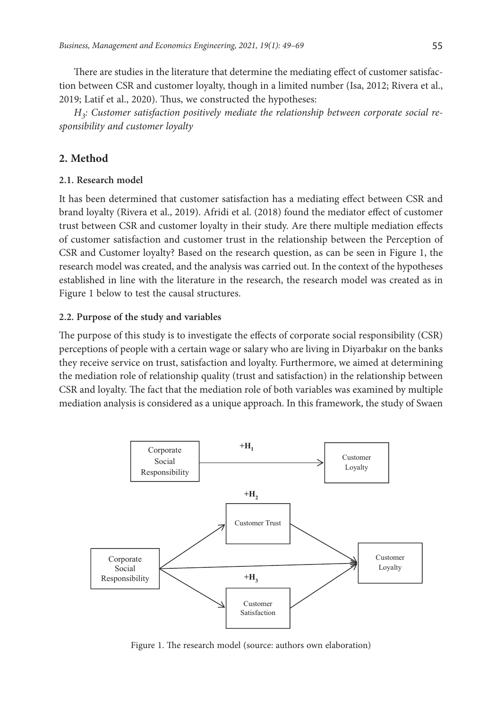There are studies in the literature that determine the mediating effect of customer satisfac-

tion between CSR and customer loyalty, though in a limited number (Isa, 2012; Rivera et al., 2019; Latif et al., 2020). Thus, we constructed the hypotheses:

*H3: Customer satisfaction positively mediate the relationship between corporate social responsibility and customer loyalty*

# **2. Method**

### **2.1. Research model**

It has been determined that customer satisfaction has a mediating effect between CSR and brand loyalty (Rivera et al., 2019). Afridi et al. (2018) found the mediator effect of customer trust between CSR and customer loyalty in their study. Are there multiple mediation effects of customer satisfaction and customer trust in the relationship between the Perception of CSR and Customer loyalty? Based on the research question, as can be seen in Figure 1, the research model was created, and the analysis was carried out. In the context of the hypotheses established in line with the literature in the research, the research model was created as in Figure 1 below to test the causal structures.

## **2.2. Purpose of the study and variables**

The purpose of this study is to investigate the effects of corporate social responsibility (CSR) perceptions of people with a certain wage or salary who are living in Diyarbakır on the banks they receive service on trust, satisfaction and loyalty. Furthermore, we aimed at determining the mediation role of relationship quality (trust and satisfaction) in the relationship between CSR and loyalty. The fact that the mediation role of both variables was examined by multiple mediation analysis is considered as a unique approach. In this framework, the study of Swaen



Figure 1. The research model (source: authors own elaboration)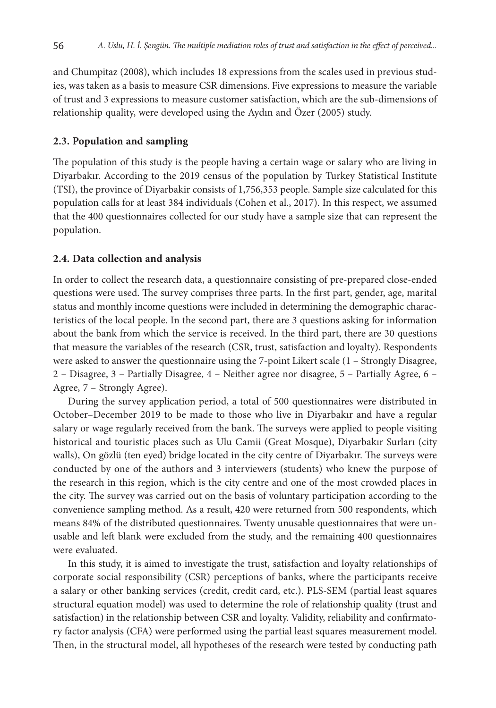and Chumpitaz (2008), which includes 18 expressions from the scales used in previous studies, was taken as a basis to measure CSR dimensions. Five expressions to measure the variable of trust and 3 expressions to measure customer satisfaction, which are the sub-dimensions of relationship quality, were developed using the Aydın and Özer (2005) study.

#### **2.3. Population and sampling**

The population of this study is the people having a certain wage or salary who are living in Diyarbakır. According to the 2019 census of the population by Turkey Statistical Institute (TSI), the province of Diyarbakir consists of 1,756,353 people. Sample size calculated for this population calls for at least 384 individuals (Cohen et al., 2017). In this respect, we assumed that the 400 questionnaires collected for our study have a sample size that can represent the population.

#### **2.4. Data collection and analysis**

In order to collect the research data, a questionnaire consisting of pre-prepared close-ended questions were used. The survey comprises three parts. In the first part, gender, age, marital status and monthly income questions were included in determining the demographic characteristics of the local people. In the second part, there are 3 questions asking for information about the bank from which the service is received. In the third part, there are 30 questions that measure the variables of the research (CSR, trust, satisfaction and loyalty). Respondents were asked to answer the questionnaire using the 7-point Likert scale (1 – Strongly Disagree, 2 – Disagree, 3 – Partially Disagree, 4 – Neither agree nor disagree, 5 – Partially Agree, 6 – Agree, 7 – Strongly Agree).

During the survey application period, a total of 500 questionnaires were distributed in October–December 2019 to be made to those who live in Diyarbakır and have a regular salary or wage regularly received from the bank. The surveys were applied to people visiting historical and touristic places such as Ulu Camii (Great Mosque), Diyarbakır Surları (city walls), On gözlü (ten eyed) bridge located in the city centre of Diyarbakır. The surveys were conducted by one of the authors and 3 interviewers (students) who knew the purpose of the research in this region, which is the city centre and one of the most crowded places in the city. The survey was carried out on the basis of voluntary participation according to the convenience sampling method. As a result, 420 were returned from 500 respondents, which means 84% of the distributed questionnaires. Twenty unusable questionnaires that were unusable and left blank were excluded from the study, and the remaining 400 questionnaires were evaluated.

In this study, it is aimed to investigate the trust, satisfaction and loyalty relationships of corporate social responsibility (CSR) perceptions of banks, where the participants receive a salary or other banking services (credit, credit card, etc.). PLS-SEM (partial least squares structural equation model) was used to determine the role of relationship quality (trust and satisfaction) in the relationship between CSR and loyalty. Validity, reliability and confirmatory factor analysis (CFA) were performed using the partial least squares measurement model. Then, in the structural model, all hypotheses of the research were tested by conducting path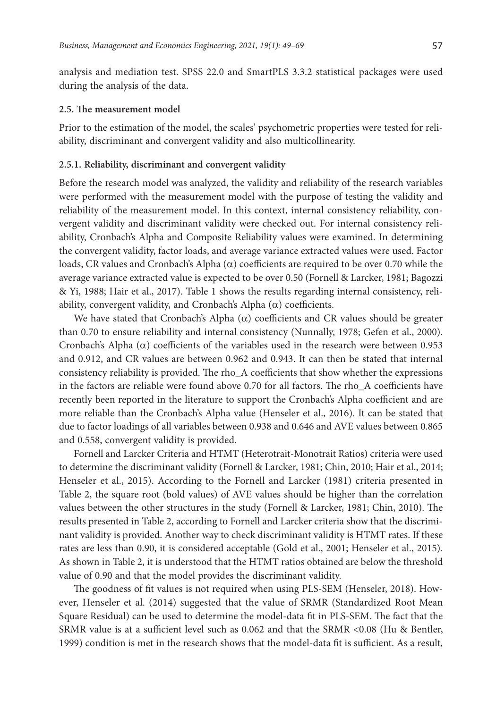analysis and mediation test. SPSS 22.0 and SmartPLS 3.3.2 statistical packages were used during the analysis of the data.

#### **2.5. The measurement model**

Prior to the estimation of the model, the scales' psychometric properties were tested for reliability, discriminant and convergent validity and also multicollinearity.

#### **2.5.1. Reliability, discriminant and convergent validity**

Before the research model was analyzed, the validity and reliability of the research variables were performed with the measurement model with the purpose of testing the validity and reliability of the measurement model. In this context, internal consistency reliability, convergent validity and discriminant validity were checked out. For internal consistency reliability, Cronbach's Alpha and Composite Reliability values were examined. In determining the convergent validity, factor loads, and average variance extracted values were used. Factor loads, CR values and Cronbach's Alpha  $(\alpha)$  coefficients are required to be over 0.70 while the average variance extracted value is expected to be over 0.50 (Fornell & Larcker, 1981; Bagozzi & Yi, 1988; Hair et al., 2017). Table 1 shows the results regarding internal consistency, reliability, convergent validity, and Cronbach's Alpha  $(\alpha)$  coefficients.

We have stated that Cronbach's Alpha  $(\alpha)$  coefficients and CR values should be greater than 0.70 to ensure reliability and internal consistency (Nunnally, 1978; Gefen et al., 2000). Cronbach's Alpha ( $\alpha$ ) coefficients of the variables used in the research were between 0.953 and 0.912, and CR values are between 0.962 and 0.943. It can then be stated that internal consistency reliability is provided. The rho\_A coefficients that show whether the expressions in the factors are reliable were found above 0.70 for all factors. The rho\_A coefficients have recently been reported in the literature to support the Cronbach's Alpha coefficient and are more reliable than the Cronbach's Alpha value (Henseler et al., 2016). It can be stated that due to factor loadings of all variables between 0.938 and 0.646 and AVE values between 0.865 and 0.558, convergent validity is provided.

Fornell and Larcker Criteria and HTMT (Heterotrait-Monotrait Ratios) criteria were used to determine the discriminant validity (Fornell & Larcker, 1981; Chin, 2010; Hair et al., 2014; Henseler et al., 2015). According to the Fornell and Larcker (1981) criteria presented in Table 2, the square root (bold values) of AVE values should be higher than the correlation values between the other structures in the study (Fornell & Larcker, 1981; Chin, 2010). The results presented in Table 2, according to Fornell and Larcker criteria show that the discriminant validity is provided. Another way to check discriminant validity is HTMT rates. If these rates are less than 0.90, it is considered acceptable (Gold et al., 2001; Henseler et al., 2015). As shown in Table 2, it is understood that the HTMT ratios obtained are below the threshold value of 0.90 and that the model provides the discriminant validity.

The goodness of fit values is not required when using PLS-SEM (Henseler, 2018). However, Henseler et al. (2014) suggested that the value of SRMR (Standardized Root Mean Square Residual) can be used to determine the model-data fit in PLS-SEM. The fact that the SRMR value is at a sufficient level such as 0.062 and that the SRMR <0.08 (Hu & Bentler, 1999) condition is met in the research shows that the model-data fit is sufficient. As a result,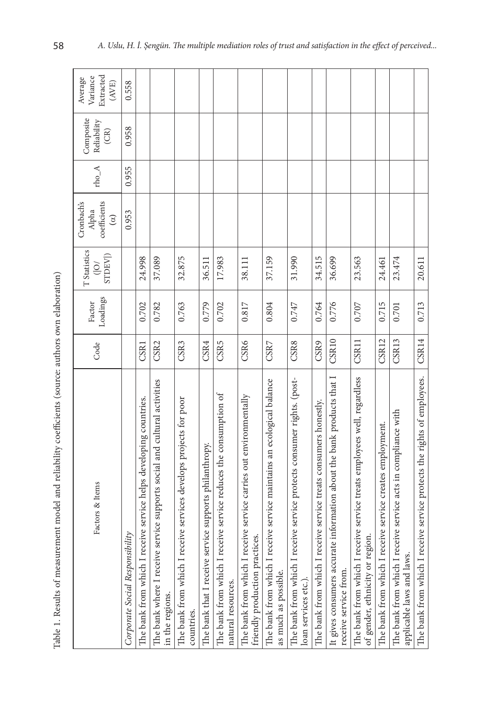| Ì                          |  |
|----------------------------|--|
|                            |  |
| $\sim$ $\sim$              |  |
| ì<br>l<br>ł<br>í           |  |
|                            |  |
| ۶                          |  |
|                            |  |
| .<br>t<br>į                |  |
| i                          |  |
|                            |  |
| l                          |  |
| י<br>י<br>i<br>ł<br>I<br>l |  |
| l                          |  |
| d<br>lah<br>l<br>i         |  |

| Table 1. Results of measurement model and reliability coefficients (source: authors own elaboration)       |                  |                    |                                            |                                                |         |                                  |                                                                   |
|------------------------------------------------------------------------------------------------------------|------------------|--------------------|--------------------------------------------|------------------------------------------------|---------|----------------------------------|-------------------------------------------------------------------|
| Pactors & Items                                                                                            | Code             | Loadings<br>Factor | T Statistics<br>STDEV)<br>$\sum_{i=1}^{n}$ | coefficients<br>Cronbach's<br>Alpha<br>$\odot$ | $rho_A$ | Composite<br>Reliability<br>(CR) | Extracted<br>Variance<br>Average<br>$\left( \mathrm{AVE} \right)$ |
| Corporate Social Responsibility                                                                            |                  |                    |                                            | 0.953                                          | 0.955   | 0.958                            | 0.558                                                             |
| The bank from which I receive service helps developing countries.                                          | <b>CSR1</b>      | 0.702              | 24.998                                     |                                                |         |                                  |                                                                   |
| The bank where I receive service supports social and cultural activities<br>in the regions.                | CSR <sub>2</sub> | 0.782              | 37.089                                     |                                                |         |                                  |                                                                   |
| The bank from which I receive services develops projects for poor<br>countries.                            | CSR3             | 0.763              | 32.875                                     |                                                |         |                                  |                                                                   |
| The bank that I receive service supports philanthropy.                                                     | CSR4             | 0.779              | 36.511                                     |                                                |         |                                  |                                                                   |
| The bank from which I receive service reduces the consumption of<br>natural resources.                     | CSR5             | 0.702              | 17.983                                     |                                                |         |                                  |                                                                   |
| The bank from which I receive service carries out environmentally<br>friendly production practices.        | CSR6             | 0.817              | 38.111                                     |                                                |         |                                  |                                                                   |
| The bank from which I receive service maintains an ecological balance<br>as much as possible.              | CSR7             | 0.804              | 37.159                                     |                                                |         |                                  |                                                                   |
| The bank from which I receive service protects consumer rights. (post-<br>loan services etc.).             | CSR8             | 0.747              | 31.990                                     |                                                |         |                                  |                                                                   |
| The bank from which I receive service treats consumers honestly.                                           | CSR9             | 0.764              | 34.515                                     |                                                |         |                                  |                                                                   |
| It gives consumers accurate information about the bank products that I<br>receive service from.            | CSR10            | 0.776              | 36.699                                     |                                                |         |                                  |                                                                   |
| The bank from which I receive service treats employees well, regardless<br>of gender, ethnicity or region. | CSR11            | 0.707              | 23.563                                     |                                                |         |                                  |                                                                   |
| The bank from which I receive service creates employment.                                                  | CSR12            | 0.715              | 24.461                                     |                                                |         |                                  |                                                                   |
| The bank from which I receive service acts in compliance with<br>applicable laws and laws.                 | CSR13            | 0.701              | 23.474                                     |                                                |         |                                  |                                                                   |
| The bank from which I receive service protects the rights of employees.                                    | CSR14            | 0.713              | 20.611                                     |                                                |         |                                  |                                                                   |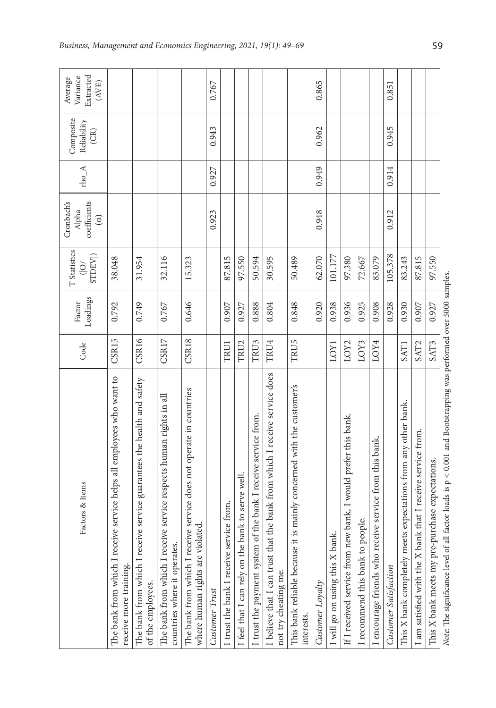| Factors & Items                                                                                         | Code              | Loadings<br>Factor | T Statistics<br>STDEV <sup>[</sup> ]<br>$\widetilde{O}$ | coefficients<br>Cronbach's<br>Alpha<br>$\circledcirc$ | $rho_A$ | Composite<br>Reliability<br>(CR) | Extracted<br>Variance<br>Average<br>$\left( \mathrm{AVE} \right)$ |
|---------------------------------------------------------------------------------------------------------|-------------------|--------------------|---------------------------------------------------------|-------------------------------------------------------|---------|----------------------------------|-------------------------------------------------------------------|
| The bank from which I receive service helps all employees who want to<br>receive more training.         | CSR15             | 0.792              | 38.048                                                  |                                                       |         |                                  |                                                                   |
| The bank from which I receive service guarantees the health and safety<br>of the employees.             | CSR <sub>16</sub> | 0.749              | 31.954                                                  |                                                       |         |                                  |                                                                   |
| The bank from which I receive service respects human rights in all<br>countries where it operates.      | CSR17             | 0.767              | 32.116                                                  |                                                       |         |                                  |                                                                   |
| The bank from which I receive service does not operate in countries<br>where human rights are violated. | CSR18             | 0.646              | 15.323                                                  |                                                       |         |                                  |                                                                   |
| Customer Trust                                                                                          |                   |                    |                                                         | 0.923                                                 | 0.927   | 0.943                            | 0.767                                                             |
| I trust the bank I receive service from.                                                                | TRU1              | 0.907              | 87.815                                                  |                                                       |         |                                  |                                                                   |
| I feel that I can rely on the bank to serve well.                                                       | TRU <sub>2</sub>  | 0.927              | 97.550                                                  |                                                       |         |                                  |                                                                   |
| the bank I receive service from.<br>I trust the payment system of                                       | TRU3              | 0.888              | 50.594                                                  |                                                       |         |                                  |                                                                   |
| the bank from which I receive service does<br>I believe that I can trust that<br>not try cheating me.   | TRU4              | 0.804              | 30.595                                                  |                                                       |         |                                  |                                                                   |
| This bank reliable because it is mainly concerned with the customer's<br>interests.                     | TRU5              | 0.848              | 50.489                                                  |                                                       |         |                                  |                                                                   |
| Customer Loyalty                                                                                        |                   | 0.920              | 62.070                                                  | 0.948                                                 | 0.949   | 0.962                            | 0.865                                                             |
| I will go on using this X bank                                                                          | LOY1              | 0.938              | 101.177                                                 |                                                       |         |                                  |                                                                   |
| If I received service from new bank, I would prefer this bank.                                          | LOY <sub>2</sub>  | 0.936              | 97.380                                                  |                                                       |         |                                  |                                                                   |
| I recommend this bank to people.                                                                        | LOY3              | 0.925              | 72.667                                                  |                                                       |         |                                  |                                                                   |
| I encourage friends who receive service from this bank.                                                 | LOY4              | 0.908              | 83.079                                                  |                                                       |         |                                  |                                                                   |
| Customer Satisfaction                                                                                   |                   | 0.928              | 105.378                                                 | 0.912                                                 | 0.914   | 0.945                            | 0.851                                                             |
| This X bank completely meets expectations from any other bank.                                          | SAT1              | 0.930              | 83.243                                                  |                                                       |         |                                  |                                                                   |
| I am satisfied with the X bank that I receive service from.                                             | SAT <sub>2</sub>  | 0.907              | 87.815                                                  |                                                       |         |                                  |                                                                   |
| This X bank meets my pre-purchase expectations.                                                         | SAT3              | 0.927              | 97.550                                                  |                                                       |         |                                  |                                                                   |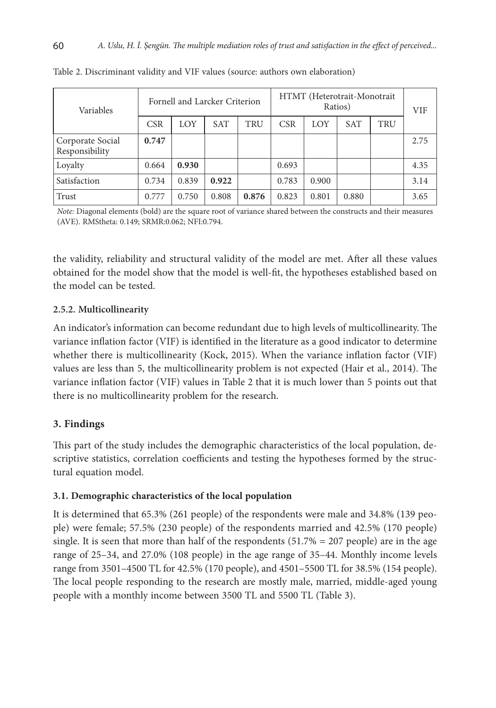| Variables                          |            | Fornell and Larcker Criterion |            |       |            |       | HTMT (Heterotrait-Monotrait<br>Ratios) |     | VIF  |
|------------------------------------|------------|-------------------------------|------------|-------|------------|-------|----------------------------------------|-----|------|
|                                    | <b>CSR</b> | LOY                           | <b>SAT</b> | TRU   | <b>CSR</b> | LOY   | <b>SAT</b>                             | TRU |      |
| Corporate Social<br>Responsibility | 0.747      |                               |            |       |            |       |                                        |     | 2.75 |
| Loyalty                            | 0.664      | 0.930                         |            |       | 0.693      |       |                                        |     | 4.35 |
| Satisfaction                       | 0.734      | 0.839                         | 0.922      |       | 0.783      | 0.900 |                                        |     | 3.14 |
| Trust                              | 0.777      | 0.750                         | 0.808      | 0.876 | 0.823      | 0.801 | 0.880                                  |     | 3.65 |

Table 2. Discriminant validity and VIF values (source: authors own elaboration)

*Note:* Diagonal elements (bold) are the square root of variance shared between the constructs and their measures (AVE). RMStheta: 0.149; SRMR:0.062; NFI:0.794.

the validity, reliability and structural validity of the model are met. After all these values obtained for the model show that the model is well-fit, the hypotheses established based on the model can be tested.

## **2.5.2. Multicollinearity**

An indicator's information can become redundant due to high levels of multicollinearity. The variance inflation factor (VIF) is identified in the literature as a good indicator to determine whether there is multicollinearity (Kock, 2015). When the variance inflation factor (VIF) values are less than 5, the multicollinearity problem is not expected (Hair et al., 2014). The variance inflation factor (VIF) values in Table 2 that it is much lower than 5 points out that there is no multicollinearity problem for the research.

## **3. Findings**

This part of the study includes the demographic characteristics of the local population, descriptive statistics, correlation coefficients and testing the hypotheses formed by the structural equation model.

## **3.1. Demographic characteristics of the local population**

It is determined that 65.3% (261 people) of the respondents were male and 34.8% (139 people) were female; 57.5% (230 people) of the respondents married and 42.5% (170 people) single. It is seen that more than half of the respondents  $(51.7% = 207$  people) are in the age range of 25–34, and 27.0% (108 people) in the age range of 35–44. Monthly income levels range from 3501–4500 TL for 42.5% (170 people), and 4501–5500 TL for 38.5% (154 people). The local people responding to the research are mostly male, married, middle-aged young people with a monthly income between 3500 TL and 5500 TL (Table 3).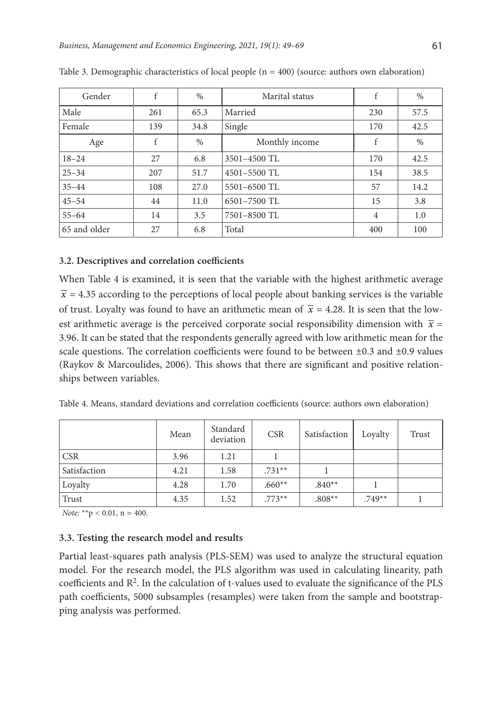| Gender       | f   | $\frac{0}{0}$ | Marital status   | f              | $\%$ |
|--------------|-----|---------------|------------------|----------------|------|
| Male         | 261 | 65.3          | Married          | 230            | 57.5 |
| Female       | 139 | 34.8          | Single           | 170            | 42.5 |
| Age          | f   | $\%$          | Monthly income   | f              | $\%$ |
| $18 - 24$    | 27  | 6.8           | 3501-4500 TL     | 170            | 42.5 |
| $25 - 34$    | 207 | 51.7          | $4501 - 5500$ TL | 154            | 38.5 |
| $35 - 44$    | 108 | 27.0          | 5501-6500 TL     | 57             | 14.2 |
| $45 - 54$    | 44  | 11.0          | 6501-7500 TL     | 15             | 3.8  |
| $55 - 64$    | 14  | 3.5           | 7501-8500 TL     | $\overline{4}$ | 1.0  |
| 65 and older | 27  | 6.8           | Total            | 400            | 100  |

Table 3. Demographic characteristics of local people  $(n = 400)$  (source: authors own elaboration)

# **3.2. Descriptives and correlation coefficients**

When Table 4 is examined, it is seen that the variable with the highest arithmetic average  $\bar{x}$  = 4.35 according to the perceptions of local people about banking services is the variable of trust. Loyalty was found to have an arithmetic mean of  $\bar{x}$  = 4.28. It is seen that the lowest arithmetic average is the perceived corporate social responsibility dimension with  $\bar{x}$  = 3.96. It can be stated that the respondents generally agreed with low arithmetic mean for the scale questions. The correlation coefficients were found to be between  $\pm 0.3$  and  $\pm 0.9$  values (Raykov & Marcoulides, 2006). This shows that there are significant and positive relationships between variables.

Table 4. Means, standard deviations and correlation coefficients (source: authors own elaboration)

|              | Mean | Standard<br>deviation | <b>CSR</b> | Satisfaction | Loyalty  | Trust |
|--------------|------|-----------------------|------------|--------------|----------|-------|
| <b>CSR</b>   | 3.96 | 1.21                  |            |              |          |       |
| Satisfaction | 4.21 | 1.58                  | $.731**$   |              |          |       |
| Loyalty      | 4.28 | 1.70                  | $.660**$   | $.840**$     |          |       |
| Trust        | 4.35 | 1.52                  | $.773**$   | $.808**$     | $.749**$ |       |

*Note:*  $**p < 0.01$ ,  $n = 400$ .

# **3.3. Testing the research model and results**

Partial least-squares path analysis (PLS-SEM) was used to analyze the structural equation model. For the research model, the PLS algorithm was used in calculating linearity, path coefficients and  $\mathbb{R}^2$ . In the calculation of t-values used to evaluate the significance of the PLS path coefficients, 5000 subsamples (resamples) were taken from the sample and bootstrapping analysis was performed.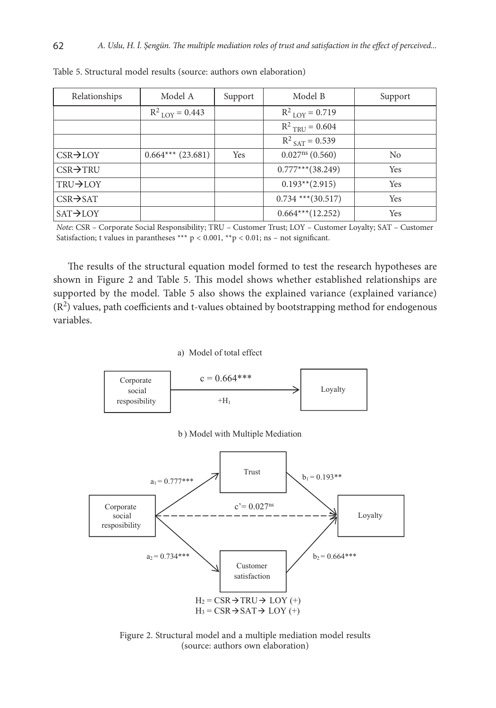| Relationships         | Model A                      | Support | Model B                      | Support        |
|-----------------------|------------------------------|---------|------------------------------|----------------|
|                       | $R^2$ <sub>LOY</sub> = 0.443 |         | $R^2$ <sub>LOY</sub> = 0.719 |                |
|                       |                              |         | $R^2$ <sub>TRU</sub> = 0.604 |                |
|                       |                              |         | $R^2$ <sub>SAT</sub> = 0.539 |                |
| $CSR \rightarrow LOY$ | $0.664***$ (23.681)          | Yes     | $0.027^{\text{ns}}(0.560)$   | N <sub>0</sub> |
| $CSR \rightarrow TRU$ |                              |         | $0.777***$ (38.249)          | Yes            |
| TRU→LOY               |                              |         | $0.193**$ (2.915)            | <b>Yes</b>     |
| $CSR \rightarrow SAT$ |                              |         | $0.734$ *** $(30.517)$       | <b>Yes</b>     |
| $SAT \rightarrow LOY$ |                              |         | $0.664***(12.252)$           | Yes            |

Table 5. Structural model results (source: authors own elaboration)

*Note*: CSR – Corporate Social Responsibility; TRU – Customer Trust; LOY – Customer Loyalty; SAT – Customer Satisfaction; t values in parantheses \*\*\*  $p < 0.001$ , \*\* $p < 0.01$ ; ns – not significant.

The results of the structural equation model formed to test the research hypotheses are shown in Figure 2 and Table 5. This model shows whether established relationships are supported by the model. Table 5 also shows the explained variance (explained variance)  $(R<sup>2</sup>)$  values, path coefficients and t-values obtained by bootstrapping method for endogenous variables.

#### a) Model of total effect



b ) Model with Multiple Mediation



Figure 2. Structural model and a multiple mediation model results (source: authors own elaboration)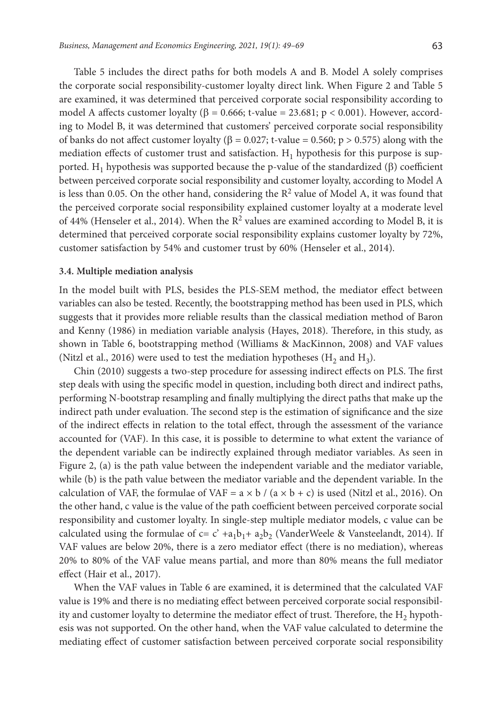Table 5 includes the direct paths for both models A and B. Model A solely comprises the corporate social responsibility-customer loyalty direct link. When Figure 2 and Table 5 are examined, it was determined that perceived corporate social responsibility according to model A affects customer loyalty ( $\beta = 0.666$ ; t-value = 23.681; p < 0.001). However, according to Model B, it was determined that customers' perceived corporate social responsibility of banks do not affect customer loyalty (β = 0.027; t-value = 0.560; p > 0.575) along with the mediation effects of customer trust and satisfaction.  $H_1$  hypothesis for this purpose is supported. H<sub>1</sub> hypothesis was supported because the p-value of the standardized ( $\beta$ ) coefficient between perceived corporate social responsibility and customer loyalty, according to Model A is less than 0.05. On the other hand, considering the  $R<sup>2</sup>$  value of Model A, it was found that the perceived corporate social responsibility explained customer loyalty at a moderate level of 44% (Henseler et al., 2014). When the  $R^2$  values are examined according to Model B, it is determined that perceived corporate social responsibility explains customer loyalty by 72%, customer satisfaction by 54% and customer trust by 60% (Henseler et al., 2014).

#### **3.4. Multiple mediation analysis**

In the model built with PLS, besides the PLS-SEM method, the mediator effect between variables can also be tested. Recently, the bootstrapping method has been used in PLS, which suggests that it provides more reliable results than the classical mediation method of Baron and Kenny (1986) in mediation variable analysis (Hayes, 2018). Therefore, in this study, as shown in Table 6, bootstrapping method (Williams & MacKinnon, 2008) and VAF values (Nitzl et al., 2016) were used to test the mediation hypotheses (H<sub>2</sub> and H<sub>3</sub>).

Chin (2010) suggests a two-step procedure for assessing indirect effects on PLS. The first step deals with using the specific model in question, including both direct and indirect paths, performing N-bootstrap resampling and finally multiplying the direct paths that make up the indirect path under evaluation. The second step is the estimation of significance and the size of the indirect effects in relation to the total effect, through the assessment of the variance accounted for (VAF). In this case, it is possible to determine to what extent the variance of the dependent variable can be indirectly explained through mediator variables. As seen in Figure 2, (a) is the path value between the independent variable and the mediator variable, while (b) is the path value between the mediator variable and the dependent variable. In the calculation of VAF, the formulae of VAF =  $a \times b / (a \times b + c)$  is used (Nitzl et al., 2016). On the other hand, c value is the value of the path coefficient between perceived corporate social responsibility and customer loyalty. In single-step multiple mediator models, c value can be calculated using the formulae of  $c = c' + a_1b_1 + a_2b_2$  (VanderWeele & Vansteelandt, 2014). If VAF values are below 20%, there is a zero mediator effect (there is no mediation), whereas 20% to 80% of the VAF value means partial, and more than 80% means the full mediator effect (Hair et al., 2017).

When the VAF values in Table 6 are examined, it is determined that the calculated VAF value is 19% and there is no mediating effect between perceived corporate social responsibility and customer loyalty to determine the mediator effect of trust. Therefore, the  $H<sub>2</sub>$  hypothesis was not supported. On the other hand, when the VAF value calculated to determine the mediating effect of customer satisfaction between perceived corporate social responsibility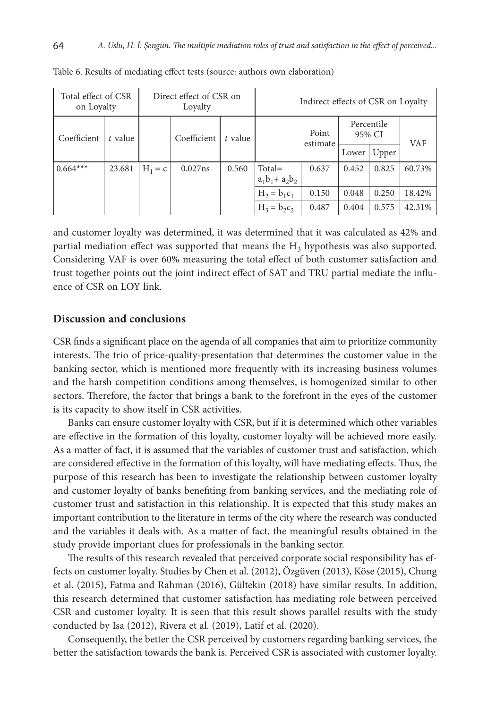| Total effect of CSR<br>on Loyalty |         |           | Direct effect of CSR on<br>Loyalty |         |                                | Indirect effects of CSR on Loyalty |       |                      |        |
|-----------------------------------|---------|-----------|------------------------------------|---------|--------------------------------|------------------------------------|-------|----------------------|--------|
| Coefficient                       | t-value |           | Coefficient                        | t-value |                                | Point<br>estimate                  |       | Percentile<br>95% CI | VAF    |
|                                   |         |           |                                    |         |                                |                                    | Lower | Upper                |        |
| $0.664***$                        | 23.681  | $H_1 = c$ | 0.027ns                            | 0.560   | $Total =$<br>$a_1b_1 + a_2b_2$ | 0.637                              | 0.452 | 0.825                | 60.73% |
|                                   |         |           |                                    |         | $H_2 = b_1 c_1$                | 0.150                              | 0.048 | 0.250                | 18.42% |
|                                   |         |           |                                    |         | $H_3 = b_2c_2$                 | 0.487                              | 0.404 | 0.575                | 42.31% |

Table 6. Results of mediating effect tests (source: authors own elaboration)

and customer loyalty was determined, it was determined that it was calculated as 42% and partial mediation effect was supported that means the  $H_3$  hypothesis was also supported. Considering VAF is over 60% measuring the total effect of both customer satisfaction and trust together points out the joint indirect effect of SAT and TRU partial mediate the influence of CSR on LOY link.

#### **Discussion and conclusions**

CSR finds a significant place on the agenda of all companies that aim to prioritize community interests. The trio of price-quality-presentation that determines the customer value in the banking sector, which is mentioned more frequently with its increasing business volumes and the harsh competition conditions among themselves, is homogenized similar to other sectors. Therefore, the factor that brings a bank to the forefront in the eyes of the customer is its capacity to show itself in CSR activities.

Banks can ensure customer loyalty with CSR, but if it is determined which other variables are effective in the formation of this loyalty, customer loyalty will be achieved more easily. As a matter of fact, it is assumed that the variables of customer trust and satisfaction, which are considered effective in the formation of this loyalty, will have mediating effects. Thus, the purpose of this research has been to investigate the relationship between customer loyalty and customer loyalty of banks benefiting from banking services, and the mediating role of customer trust and satisfaction in this relationship. It is expected that this study makes an important contribution to the literature in terms of the city where the research was conducted and the variables it deals with. As a matter of fact, the meaningful results obtained in the study provide important clues for professionals in the banking sector.

The results of this research revealed that perceived corporate social responsibility has effects on customer loyalty. Studies by Chen et al. (2012), Özgüven (2013), Köse (2015), Chung et al. (2015), Fatma and Rahman (2016), Gültekin (2018) have similar results. In addition, this research determined that customer satisfaction has mediating role between perceived CSR and customer loyalty. It is seen that this result shows parallel results with the study conducted by Isa (2012), Rivera et al. (2019), Latif et al. (2020).

Consequently, the better the CSR perceived by customers regarding banking services, the better the satisfaction towards the bank is. Perceived CSR is associated with customer loyalty.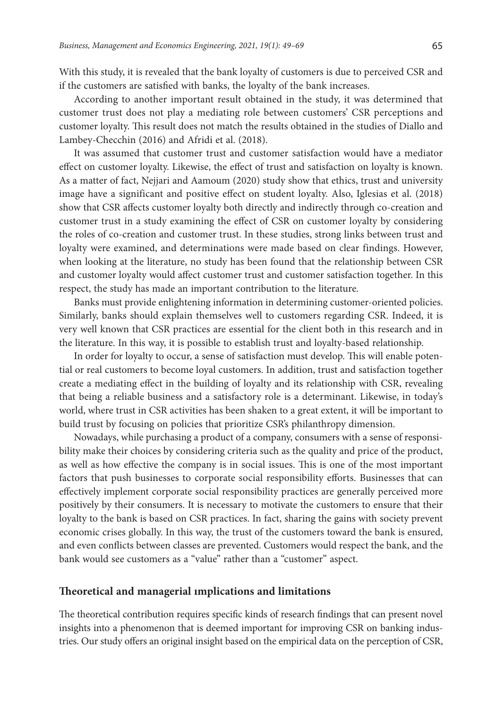With this study, it is revealed that the bank loyalty of customers is due to perceived CSR and if the customers are satisfied with banks, the loyalty of the bank increases.

According to another important result obtained in the study, it was determined that customer trust does not play a mediating role between customers' CSR perceptions and customer loyalty. This result does not match the results obtained in the studies of Diallo and Lambey-Checchin (2016) and Afridi et al. (2018).

It was assumed that customer trust and customer satisfaction would have a mediator effect on customer loyalty. Likewise, the effect of trust and satisfaction on loyalty is known. As a matter of fact, Nejjari and Aamoum (2020) study show that ethics, trust and university image have a significant and positive effect on student loyalty. Also, Iglesias et al. (2018) show that CSR affects customer loyalty both directly and indirectly through co-creation and customer trust in a study examining the effect of CSR on customer loyalty by considering the roles of co-creation and customer trust. In these studies, strong links between trust and loyalty were examined, and determinations were made based on clear findings. However, when looking at the literature, no study has been found that the relationship between CSR and customer loyalty would affect customer trust and customer satisfaction together. In this respect, the study has made an important contribution to the literature.

Banks must provide enlightening information in determining customer-oriented policies. Similarly, banks should explain themselves well to customers regarding CSR. Indeed, it is very well known that CSR practices are essential for the client both in this research and in the literature. In this way, it is possible to establish trust and loyalty-based relationship.

In order for loyalty to occur, a sense of satisfaction must develop. This will enable potential or real customers to become loyal customers. In addition, trust and satisfaction together create a mediating effect in the building of loyalty and its relationship with CSR, revealing that being a reliable business and a satisfactory role is a determinant. Likewise, in today's world, where trust in CSR activities has been shaken to a great extent, it will be important to build trust by focusing on policies that prioritize CSR's philanthropy dimension.

Nowadays, while purchasing a product of a company, consumers with a sense of responsibility make their choices by considering criteria such as the quality and price of the product, as well as how effective the company is in social issues. This is one of the most important factors that push businesses to corporate social responsibility efforts. Businesses that can effectively implement corporate social responsibility practices are generally perceived more positively by their consumers. It is necessary to motivate the customers to ensure that their loyalty to the bank is based on CSR practices. In fact, sharing the gains with society prevent economic crises globally. In this way, the trust of the customers toward the bank is ensured, and even conflicts between classes are prevented. Customers would respect the bank, and the bank would see customers as a "value" rather than a "customer" aspect.

### **Theoretical and managerial ımplications and limitations**

The theoretical contribution requires specific kinds of research findings that can present novel insights into a phenomenon that is deemed important for improving CSR on banking industries. Our study offers an original insight based on the empirical data on the perception of CSR,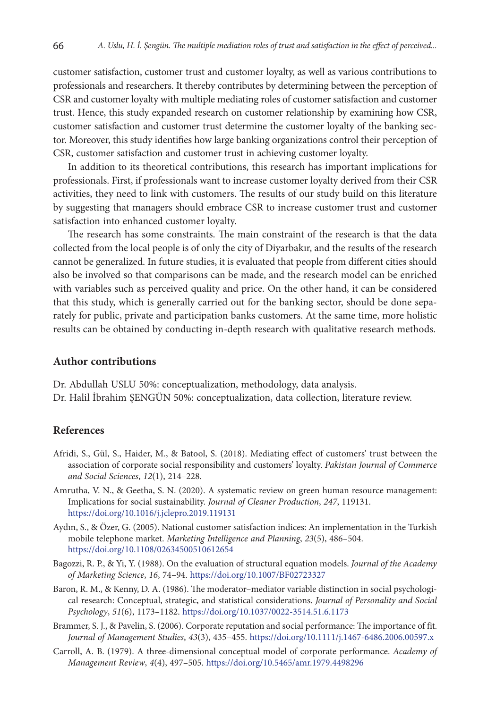customer satisfaction, customer trust and customer loyalty, as well as various contributions to professionals and researchers. It thereby contributes by determining between the perception of CSR and customer loyalty with multiple mediating roles of customer satisfaction and customer trust. Hence, this study expanded research on customer relationship by examining how CSR, customer satisfaction and customer trust determine the customer loyalty of the banking sector. Moreover, this study identifies how large banking organizations control their perception of CSR, customer satisfaction and customer trust in achieving customer loyalty.

In addition to its theoretical contributions, this research has important implications for professionals. First, if professionals want to increase customer loyalty derived from their CSR activities, they need to link with customers. The results of our study build on this literature by suggesting that managers should embrace CSR to increase customer trust and customer satisfaction into enhanced customer loyalty.

The research has some constraints. The main constraint of the research is that the data collected from the local people is of only the city of Diyarbakır, and the results of the research cannot be generalized. In future studies, it is evaluated that people from different cities should also be involved so that comparisons can be made, and the research model can be enriched with variables such as perceived quality and price. On the other hand, it can be considered that this study, which is generally carried out for the banking sector, should be done separately for public, private and participation banks customers. At the same time, more holistic results can be obtained by conducting in-depth research with qualitative research methods.

#### **Author contributions**

Dr. Abdullah USLU 50%: conceptualization, methodology, data analysis. Dr. Halil İbrahim ŞENGÜN 50%: conceptualization, data collection, literature review.

### **References**

- Afridi, S., Gül, S., Haider, M., & Batool, S. (2018). Mediating effect of customers' trust between the association of corporate social responsibility and customers' loyalty. *Pakistan Journal of Commerce and Social Sciences*, *12*(1), 214–228.
- Amrutha, V. N., & Geetha, S. N. (2020). A systematic review on green human resource management: Implications for social sustainability. *Journal of Cleaner Production*, *247*, 119131. <https://doi.org/10.1016/j.jclepro.2019.119131>
- Aydın, S., & Özer, G. (2005). National customer satisfaction indices: An implementation in the Turkish mobile telephone market. *Marketing Intelligence and Planning*, *23*(5), 486–504. <https://doi.org/10.1108/02634500510612654>
- Bagozzi, R. P., & Yi, Y. (1988). On the evaluation of structural equation models. *[Journal of the Academy](https://link.springer.com/journal/11747)  [of Marketing Science](https://link.springer.com/journal/11747)*, *16*, 74–94.<https://doi.org/10.1007/BF02723327>
- Baron, R. M., & Kenny, D. A. (1986). The moderator–mediator variable distinction in social psychological research: Conceptual, strategic, and statistical considerations. *Journal of Personality and Social Psychology*, *51*(6), 1173–1182. <https://doi.org/10.1037/0022-3514.51.6.1173>
- Brammer, S. J., & Pavelin, S. (2006). Corporate reputation and social performance: The importance of fit. *Journal of Management Studies*, *43*(3), 435–455. <https://doi.org/10.1111/j.1467-6486.2006.00597.x>
- Carroll, A. B. (1979). A three-dimensional conceptual model of corporate performance. *Academy of Management Review*, *4*(4), 497–505. <https://doi.org/10.5465/amr.1979.4498296>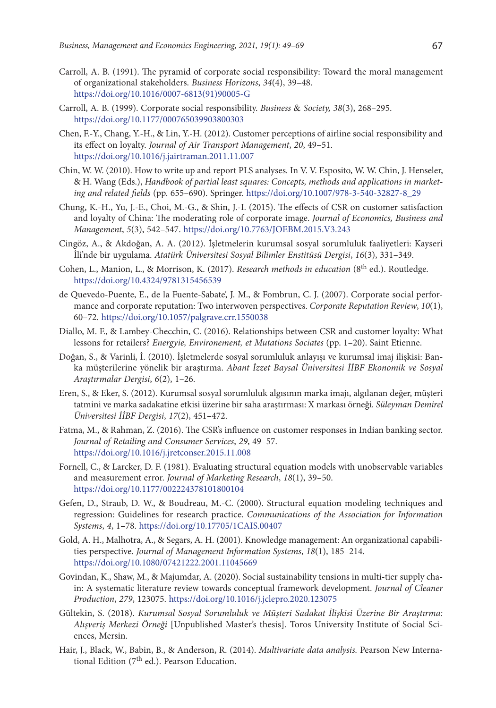- Carroll, A. B. (1991). The pyramid of corporate social responsibility: Toward the moral management of organizational stakeholders. *Business Horizons*, *34*(4), 39–48. [https://doi.org/10.1016/0007-6813\(91\)90005-G](https://doi.org/10.1016/0007-6813(91)90005-G)
- Carroll, A. B. (1999). Corporate social responsibility. *Business* & *Society, 38*(3), 268–295. https://doi.org/10.1177/000765039903800303
- Chen, F.-Y., Chang, Y.-H., & Lin, Y.-H. (2012). Customer perceptions of airline social responsibility and its effect on loyalty. *Journal of Air Transport Management*, *20*, 49–51. https://doi.org/10.1016/j.jairtraman.2011.11.007
- Chin, W. W. (2010). How to write up and report PLS analyses. In V. V. Esposito, W. W. Chin, J. Henseler, & H. Wang (Eds.), *Handbook of partial least squares: Concepts, methods and applications in marketing and related fields* (pp. 655–690). Springer. https://doi.org/10.1007/978-3-540-32827-8\_29
- Chung, K.-H., Yu, J.-E., Choi, M.-G., & Shin, J.-I. (2015). The effects of CSR on customer satisfaction and loyalty of China: The moderating role of corporate image. *Journal of Economics, Business and Management*, *5*(3), 542–547. https://doi.org/10.7763/JOEBM.2015.V3.243
- Cingöz, A., & Akdoğan, A. A. (2012). İşletmelerin kurumsal sosyal sorumluluk faaliyetleri: Kayseri İli'nde bir uygulama. *Atatürk Üniversitesi Sosyal Bilimler Enstitüsü Dergisi*, *16*(3), 331–349.
- Cohen, L., Manion, L., & Morrison, K. (2017). *Research methods in education* (8th ed.). Routledge. https://doi.org/10.4324/9781315456539
- de Quevedo-Puente, E., de la Fuente-Sabate', J. M., & Fombrun, C. J. (2007). Corporate social performance and corporate reputation: Two interwoven perspectives. *Corporate Reputation Review*, *10*(1), 60–72. https://doi.org/10.1057/palgrave.crr.1550038
- Diallo, M. F., & Lambey-Checchin, C. (2016). Relationships between CSR and customer loyalty: What lessons for retailers? *Energyie, Environement, et Mutations Sociates* (pp. 1–20). Saint Etienne.
- Doğan, S., & Varinli, İ. (2010). İşletmelerde sosyal sorumluluk anlayışı ve kurumsal imaj ilişkisi: Banka müşterilerine yönelik bir araştırma. *Abant İzzet Baysal Üniversitesi İİBF Ekonomik ve Sosyal Araştırmalar Dergisi*, *6*(2), 1–26.
- Eren, S., & Eker, S. (2012). Kurumsal sosyal sorumluluk algısının marka imajı, algılanan değer, müşteri tatmini ve marka sadakatine etkisi üzerine bir saha araştırması: X markası örneği. *Süleyman Demirel Üniversitesi İİBF Dergisi*, *17*(2), 451–472.
- Fatma, M., & Rahman, Z. (2016). The CSR's influence on customer responses in Indian banking sector. *Journal of Retailing and Consumer Services*, *29*, 49–57. https://doi.org/10.1016/j.jretconser.2015.11.008
- Fornell, C., & Larcker, D. F. (1981). Evaluating structural equation models with unobservable variables and measurement error. *Journal of Marketing Research*, *18*(1), 39–50. https://doi.org/10.1177/002224378101800104
- Gefen, D., Straub, D. W., & Boudreau, M.-C. (2000). Structural equation modeling techniques and regression: Guidelines for research practice. *Communications of the Association for Information Systems*, *4*, 1–78. https://doi.org/10.17705/1CAIS.00407
- Gold, A. H., Malhotra, A., & Segars, A. H. (2001). Knowledge management: An organizational capabilities perspective. *Journal of Management Information Systems*, *18*(1), 185–214. https://doi.org/10.1080/07421222.2001.11045669
- Govindan, K., Shaw, M., & Majumdar, A. (2020). Social sustainability tensions in multi-tier supply chain: A systematic literature review towards conceptual framework development. *Journal of Cleaner Production*, *279*, 123075. https://doi.org/10.1016/j.jclepro.2020.123075
- Gültekin, S. (2018). *Kurumsal Sosyal Sorumluluk ve Müşteri Sadakat İlişkisi Üzerine Bir Araştırma: Alışveriş Merkezi Örneği* [Unpublished Master's thesis]. Toros University Institute of Social Sciences, Mersin.
- Hair, J., Black, W., Babin, B., & Anderson, R. (2014). *Multivariate data analysis.* Pearson New International Edition ( $7<sup>th</sup>$  ed.). Pearson Education.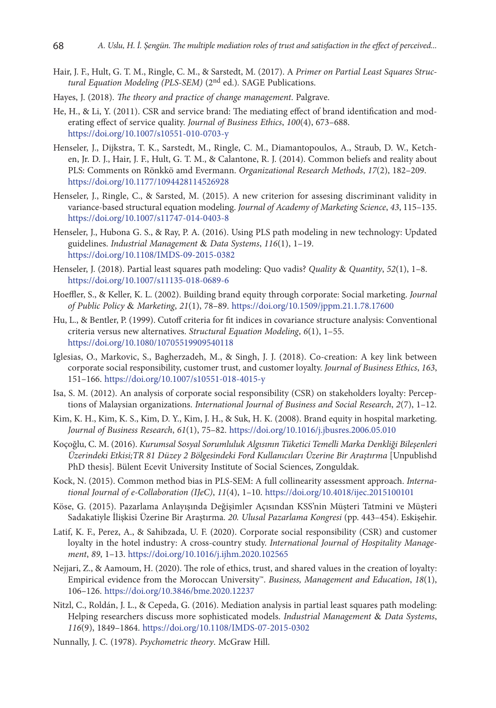- Hair, J. F., Hult, G. T. M., Ringle, C. M., & Sarstedt, M. (2017). A *Primer on Partial Least Squares Structural Equation Modeling (PLS-SEM) (2<sup>nd</sup> ed.).* SAGE Publications.
- Hayes, J. (2018). *The theory and practice of change management*. Palgrave.
- He, H., & Li, Y. (2011). CSR and service brand: The mediating effect of brand identification and moderating effect of service quality. *Journal of Business Ethics*, *100*(4), 673–688. https://doi.org/10.1007/s10551-010-0703-y
- Henseler, J., Dijkstra, T. K., Sarstedt, M., Ringle, C. M., Diamantopoulos, A., Straub, D. W., Ketchen, Jr. D. J., Hair, J. F., Hult, G. T. M., & Calantone, R. J. (2014). Common beliefs and reality about PLS: Comments on Rönkkö amd Evermann. *Organizational Research Methods*, *17*(2), 182–209. https://doi.org/10.1177/1094428114526928
- Henseler, J., Ringle, C., & Sarsted, M. (2015). A new criterion for assesing discriminant validity in variance-based structural equation modeling. *Journal of Academy of Marketing Science*, *43*, 115–135. https://doi.org/10.1007/s11747-014-0403-8
- Henseler, J., Hubona G. S., & Ray, P. A. (2016). Using PLS path modeling in new technology: Updated guidelines. *Industrial Management* & *Data Systems*, *116*(1), 1–19. https://doi.org/10.1108/IMDS-09-2015-0382
- Henseler, J. (2018). Partial least squares path modeling: Quo vadis? *Quality* & *Quantity*, *52*(1), 1–8. https://doi.org/10.1007/s11135-018-0689-6
- Hoeffler, S., & Keller, K. L. (2002). Building brand equity through corporate: Social marketing. *Journal of Public Policy* & *Marketing*, *21*(1), 78–89. https://doi.org/10.1509/jppm.21.1.78.17600
- Hu, L., & Bentler, P. (1999). Cutoff criteria for fit indices in covariance structure analysis: Conventional criteria versus new alternatives. *Structural Equation Modeling*, *6*(1), 1–55. https://doi.org/10.1080/10705519909540118
- Iglesias, O., Markovic, S., Bagherzadeh, M., & Singh, J. J. (2018). Co-creation: A key link between corporate social responsibility, customer trust, and customer loyalty. *Journal of Business Ethics*, *163*, 151–166. https://doi.org/10.1007/s10551-018-4015-y
- Isa, S. M. (2012). An analysis of corporate social responsibility (CSR) on stakeholders loyalty: Perceptions of Malaysian organizations. *International Journal of Business and Social Research*, *2*(7), 1–12.
- Kim, K. H., Kim, K. S., Kim, D. Y., Kim, J. H., & Suk, H. K. (2008). Brand equity in hospital marketing. *Journal of Business Research*, *61*(1), 75–82. https://doi.org/10.1016/j.jbusres.2006.05.010
- Koçoğlu, C. M. (2016). *Kurumsal Sosyal Sorumluluk Algısının Tüketici Temelli Marka Denkliği Bileşenleri Üzerindeki Etkisi;TR 81 Düzey 2 Bölgesindeki Ford Kullanıcıları Üzerine Bir Araştırma* [Unpublishd PhD thesis]. Bülent Ecevit University Institute of Social Sciences, Zonguldak.
- Kock, N. (2015). Common method bias in PLS-SEM: A full collinearity assessment approach. *International Journal of e-Collaboration (IJeC)*, *11*(4), 1–10. https://doi.org/10.4018/ijec.2015100101
- Köse, G. (2015). Pazarlama Anlayışında Değişimler Açısından KSS'nin Müşteri Tatmini ve Müşteri Sadakatiyle İlişkisi Üzerine Bir Araştırma. *20. Ulusal Pazarlama Kongresi* (pp. 443–454). Eskişehir.
- Latif, K. F., Perez, A., & Sahibzada, U. F. (2020). Corporate social responsibility (CSR) and customer loyalty in the hotel industry: A cross-country study. *International Journal of Hospitality Management*, *89*, 1–13. https://doi.org/10.1016/j.ijhm.2020.102565
- Nejjari, Z., & Aamoum, H. (2020). The role of ethics, trust, and shared values in the creation of loyalty: Empirical evidence from the Moroccan University™. *Business, Management and Education*, *18*(1), 106–126. https://doi.org/10.3846/bme.2020.12237
- Nitzl, C., Roldán, J. L., & Cepeda, G. (2016). Mediation analysis in partial least squares path modeling: Helping researchers discuss more sophisticated models. *Industrial Management* & *Data Systems*, *116*(9), 1849–1864. https://doi.org/10.1108/IMDS-07-2015-0302
- Nunnally, J. C. (1978). *Psychometric theory*. McGraw Hill.